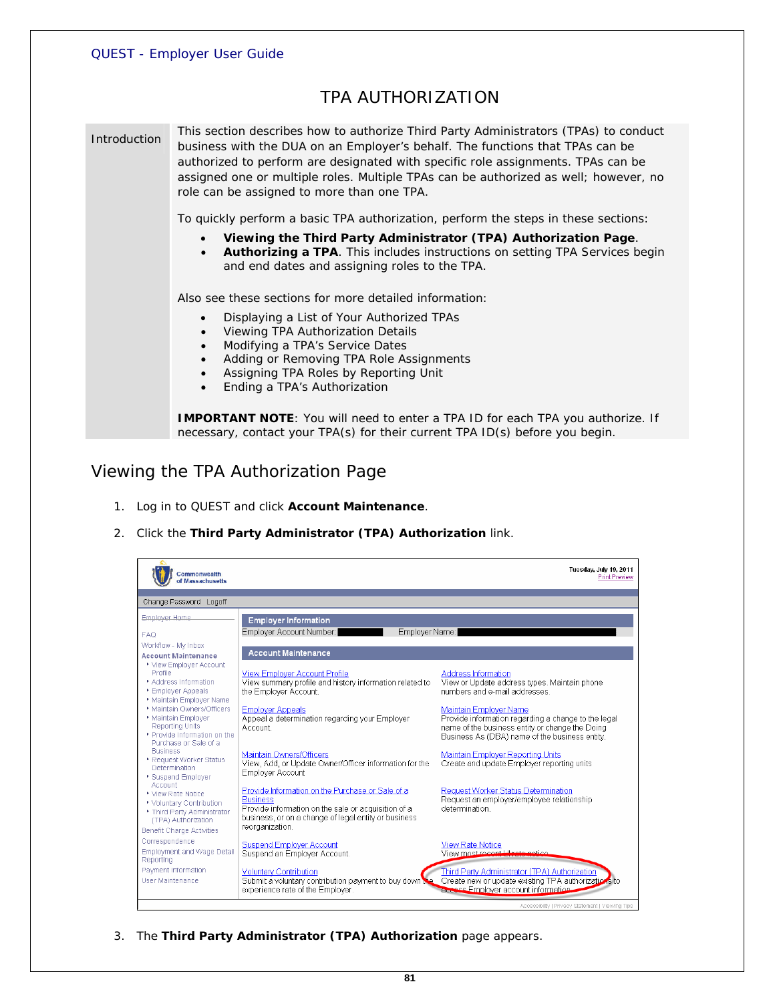## TPA AUTHORIZATION

Introduction This section describes how to authorize Third Party Administrators (TPAs) to conduct business with the DUA on an Employer's behalf. The functions that TPAs can be authorized to perform are designated with specific role assignments. TPAs can be assigned one or multiple roles. Multiple TPAs can be authorized as well; however, no role can be assigned to more than one TPA.

To quickly perform a basic TPA authorization, perform the steps in these sections:

- **Viewing the Third Party Administrator (TPA) Authorization Page**.
- **Authorizing a TPA**. This includes instructions on setting TPA Services begin and end dates and assigning roles to the TPA.

Also see these sections for more detailed information:

- Displaying a List of Your Authorized TPAs
- Viewing TPA Authorization Details
- Modifying a TPA's Service Dates
- Adding or Removing TPA Role Assignments
- Assigning TPA Roles by Reporting Unit
- Ending a TPA's Authorization

**IMPORTANT NOTE**: You will need to enter a TPA ID for each TPA you authorize. If necessary, contact your TPA(s) for their current TPA ID(s) before you begin.

## *Viewing the TPA Authorization Page*

- 1. Log in to QUEST and click **Account Maintenance**.
- 2. Click the **Third Party Administrator (TPA) Authorization** link.



3. The **Third Party Administrator (TPA) Authorization** page appears.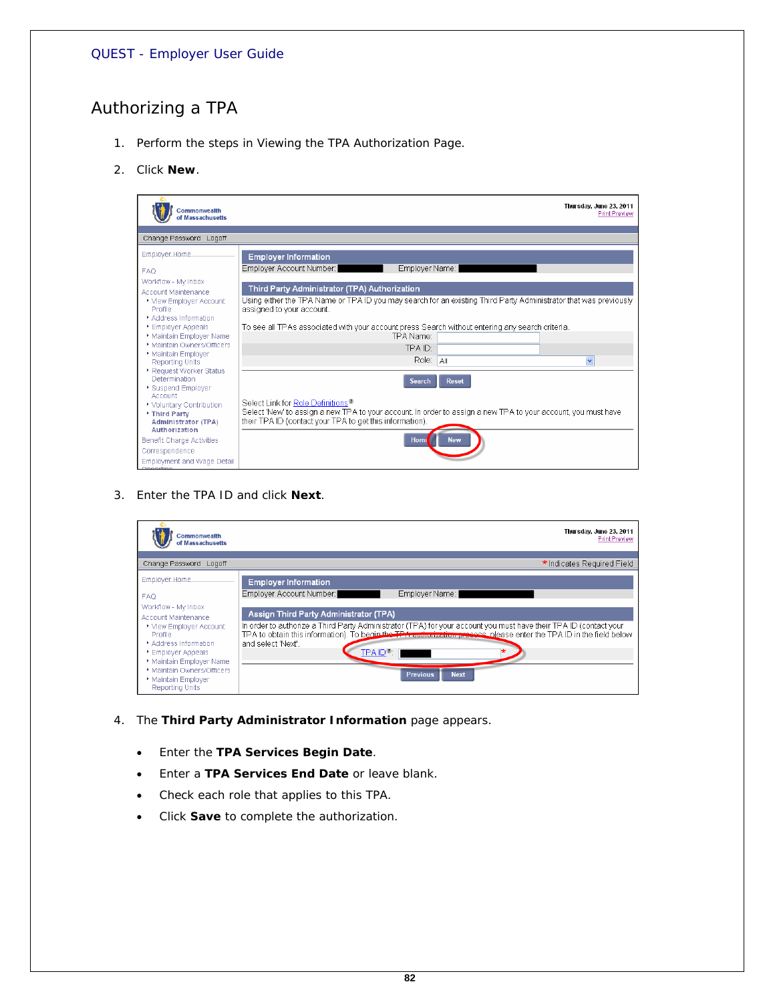# *Authorizing a TPA*

- 1. Perform the steps in *Viewing the TPA Authorization Page*.
- 2. Click **New**.



3. Enter the TPA ID and click **Next**.

| Change Password Logoff                                                                                                                                                                                                                        |                                                                                                                                                                                                                                                                                                                                                              |
|-----------------------------------------------------------------------------------------------------------------------------------------------------------------------------------------------------------------------------------------------|--------------------------------------------------------------------------------------------------------------------------------------------------------------------------------------------------------------------------------------------------------------------------------------------------------------------------------------------------------------|
|                                                                                                                                                                                                                                               | * Indicates Required Field                                                                                                                                                                                                                                                                                                                                   |
| Employer Home.                                                                                                                                                                                                                                | <b>Employer Information</b>                                                                                                                                                                                                                                                                                                                                  |
| <b>FAQ</b>                                                                                                                                                                                                                                    | Employer Account Number:<br>Employer Name:                                                                                                                                                                                                                                                                                                                   |
| Workflow - My Inbox<br>Account Maintenance<br>▶ View Employer Account<br><b>Profile</b><br>Address Information<br>▶ Employer Appeals<br>* Maintain Employer Name<br>* Maintain Owners/Officers<br>Maintain Employer<br><b>Reporting Units</b> | Assign Third Party Administrator (TPA)<br>In order to authorize a Third Party Administrator (TPA) for your account you must have their TPA ID (contact your<br>TPA to obtain this information). To begin the TPA cultimization presens, please enter the TPA ID in the field below<br>and select 'Next'.<br>$TPAID$ $\cap$<br><b>Previous</b><br><b>Next</b> |

- 4. The **Third Party Administrator Information** page appears.
	- Enter the **TPA Services Begin Date**.
	- Enter a **TPA Services End Date** or leave blank.
	- Check each role that applies to this TPA.
	- Click **Save** to complete the authorization.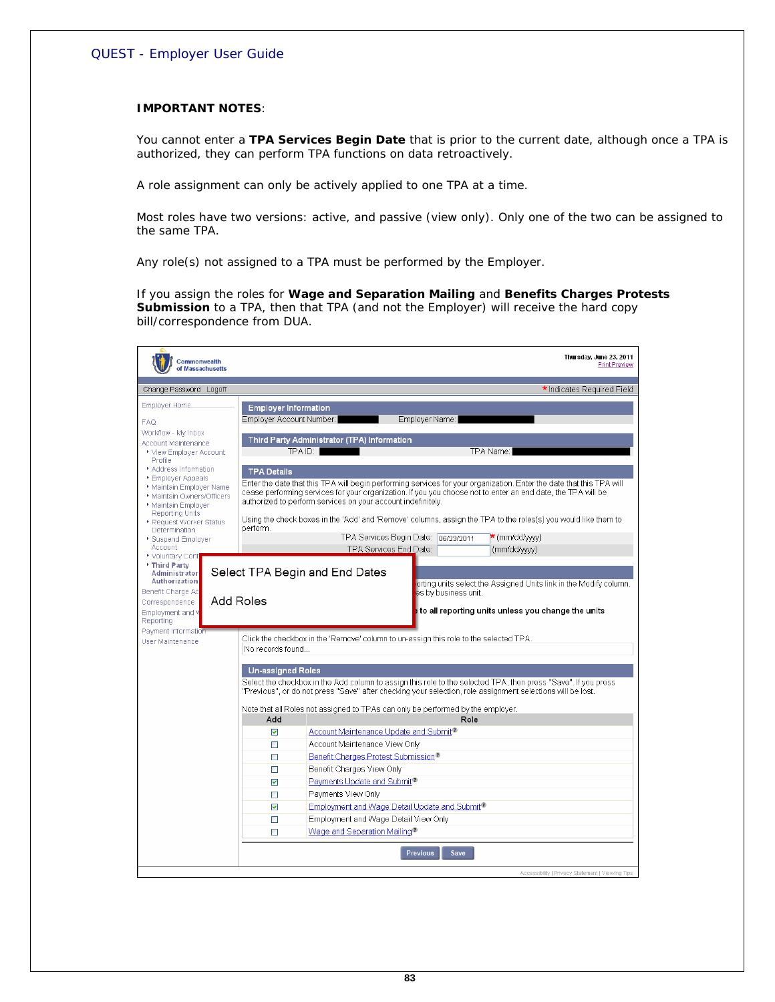#### **IMPORTANT NOTES**:

You cannot enter a **TPA Services Begin Date** that is prior to the current date, although once a TPA is authorized, they can perform TPA functions on data retroactively.

A role assignment can only be actively applied to one TPA at a time.

Most roles have two versions: active, and passive (view only). Only one of the two can be assigned to the same TPA.

Any role(s) not assigned to a TPA must be performed by the Employer.

If you assign the roles for **Wage and Separation Mailing** and **Benefits Charges Protests Submission** to a TPA, then that TPA (and not the Employer) will receive the hard copy bill/correspondence from DUA.

| <b>Commonwealth</b><br>of Massachusetts         | Thursday, June 23, 2011<br><b>Print Preview</b>                                                                                                                                                                              |
|-------------------------------------------------|------------------------------------------------------------------------------------------------------------------------------------------------------------------------------------------------------------------------------|
| Change Password Logoff                          | * Indicates Required Field                                                                                                                                                                                                   |
| Employer Home                                   | <b>Employer Information</b>                                                                                                                                                                                                  |
| FAQ                                             | Employer Account Number:  <br>Employer Name:                                                                                                                                                                                 |
| Workflow - My Inbox                             |                                                                                                                                                                                                                              |
| Account Maintenance<br>▶ View Employer Account  | Third Party Administrator (TPA) Information<br>TPA ID:<br>TPA Name:                                                                                                                                                          |
| Profile                                         |                                                                                                                                                                                                                              |
| * Address Information<br>Employer Appeals       | <b>TPA Details</b>                                                                                                                                                                                                           |
| Maintain Employer Name                          | Enter the date that this TPA will begin performing services for your organization. Enter the date that this TPA will                                                                                                         |
| * Maintain Owners/Officers<br>Maintain Employer | cease performing services for your organization. If you you choose not to enter an end date, the TPA will be<br>authorized to perform services on your account indefinitely.                                                 |
| <b>Reporting Units</b>                          |                                                                                                                                                                                                                              |
| Request Worker Status<br>Determination          | Using the check boxes in the 'Add' and 'Remove' columns, assign the TPA to the roles(s) you would like them to<br>perform.                                                                                                   |
| Suspend Employer                                | TPA Services Begin Date: 06/23/2011<br>* (mm/dd/ww)                                                                                                                                                                          |
| Account<br>▶ Voluntary Cont                     | TPA Services End Date:<br>(mm/dd/ww)                                                                                                                                                                                         |
| * Third Party                                   |                                                                                                                                                                                                                              |
| Administrator<br>Authorization                  | Select TPA Begin and End Dates<br>orting units select the Assigned Units link in the Modify column.                                                                                                                          |
| Benefit Charge Ac                               | es by business unit.                                                                                                                                                                                                         |
| Correspondence                                  | Add Roles<br>to all reporting units unless you change the units                                                                                                                                                              |
| Employment and V<br>Reporting                   |                                                                                                                                                                                                                              |
| Payment Information                             |                                                                                                                                                                                                                              |
| User Maintenance                                | Click the checkbox in the 'Remove' column to un-assign this role to the selected TPA.<br>No records found                                                                                                                    |
|                                                 |                                                                                                                                                                                                                              |
|                                                 | <b>Un-assigned Roles</b>                                                                                                                                                                                                     |
|                                                 | Select the checkbox in the Add column to assign this role to the selected TPA, then press "Save". If you press<br>"Previous", or do not press "Save" after checking your selection, role assignment selections will be lost. |
|                                                 |                                                                                                                                                                                                                              |
|                                                 | Note that all Roles not assigned to TPAs can only be performed by the employer.                                                                                                                                              |
|                                                 | Add<br>Role                                                                                                                                                                                                                  |
|                                                 | Account Maintenance Update and Submit <sup>1</sup><br>☑                                                                                                                                                                      |
|                                                 | Account Maintenance View Only<br>□<br>Benefit Charges Protest Submission <sup>1</sup><br>П                                                                                                                                   |
|                                                 | $\Box$<br>Benefit Charges View Only                                                                                                                                                                                          |
|                                                 | Payments Update and Submit <sup>®</sup><br>$\overline{\mathbf{v}}$                                                                                                                                                           |
|                                                 | Payments View Only<br>П                                                                                                                                                                                                      |
|                                                 | Employment and Wage Detail Update and Submit <sup>1</sup><br>☑                                                                                                                                                               |
|                                                 | Employment and Wage Detail View Only<br>$\Box$                                                                                                                                                                               |
|                                                 | Wage and Separation Mailing <sup>®</sup><br>$\Box$                                                                                                                                                                           |
|                                                 |                                                                                                                                                                                                                              |
|                                                 | <b>Previous</b><br><b>Save</b>                                                                                                                                                                                               |
|                                                 | Accessibility   Privacy Statement   Viewing Tips                                                                                                                                                                             |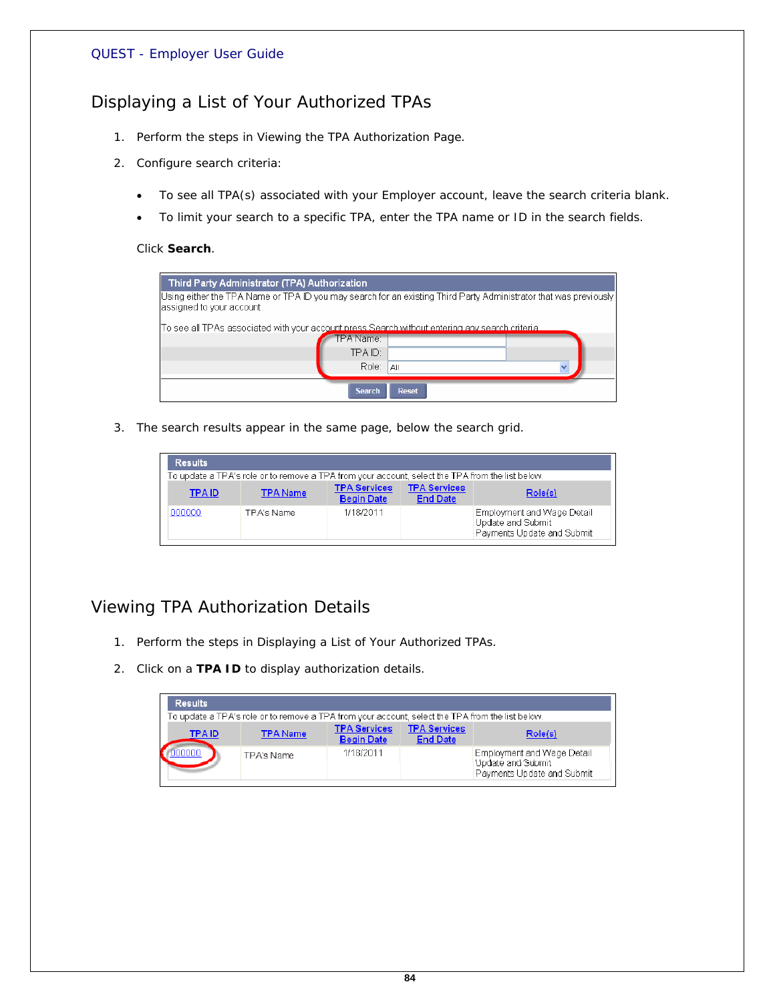# *Displaying a List of Your Authorized TPAs*

- 1. Perform the steps in *Viewing the TPA Authorization Page*.
- 2. Configure search criteria:
	- To see all TPA(s) associated with your Employer account, leave the search criteria blank.
	- To limit your search to a specific TPA, enter the TPA name or ID in the search fields.

#### Click **Search**.

| Third Party Administrator (TPA) Authorization                                                   |                                                                                                                  |
|-------------------------------------------------------------------------------------------------|------------------------------------------------------------------------------------------------------------------|
| assigned to your account.                                                                       | Using either the TPA Name or TPA ID you may search for an existing Third Party Administrator that was previously |
| To see all TPAs associated with your account press Search without entering any search criteria. |                                                                                                                  |
| TPA Name:                                                                                       |                                                                                                                  |
| TPA ID:                                                                                         |                                                                                                                  |
| Role:                                                                                           | All<br>$\overline{\phantom{a}}$                                                                                  |
| <b>Search</b>                                                                                   | <b>Reset</b>                                                                                                     |

3. The search results appear in the same page, below the search grid.

| <b>Results</b> |                                                                                                  |                                          |                                        |                                                                               |  |
|----------------|--------------------------------------------------------------------------------------------------|------------------------------------------|----------------------------------------|-------------------------------------------------------------------------------|--|
|                | To update a TPA's role or to remove a TPA from your account, select the TPA from the list below. |                                          |                                        |                                                                               |  |
| <b>TPAID</b>   | <b>TPA Name</b>                                                                                  | <b>TPA Services</b><br><b>Begin Date</b> | <b>TPA Services</b><br><b>End Date</b> | Role(s)                                                                       |  |
| 000000         | TPA's Name                                                                                       | 1/18/2011                                |                                        | Employment and Wage Detail<br>Update and Submit<br>Payments Update and Submit |  |

# *Viewing TPA Authorization Details*

- 1. Perform the steps in *Displaying a List of Your Authorized TPAs*.
- 2. Click on a **TPA ID** to display authorization details.

| <b>Results</b> |                                                                                                  |                                          |                                        |                                                                               |  |  |
|----------------|--------------------------------------------------------------------------------------------------|------------------------------------------|----------------------------------------|-------------------------------------------------------------------------------|--|--|
|                | To update a TPA's role or to remove a TPA from your account, select the TPA from the list below. |                                          |                                        |                                                                               |  |  |
| <b>TPAID</b>   | <b>TPA Name</b>                                                                                  | <b>TPA Services</b><br><b>Begin Date</b> | <b>TPA Services</b><br><b>End Date</b> | Role(s)                                                                       |  |  |
| 00000          | TPA's Name                                                                                       | 1/18/2011                                |                                        | Employment and Wage Detail<br>Update and Submit<br>Payments Update and Submit |  |  |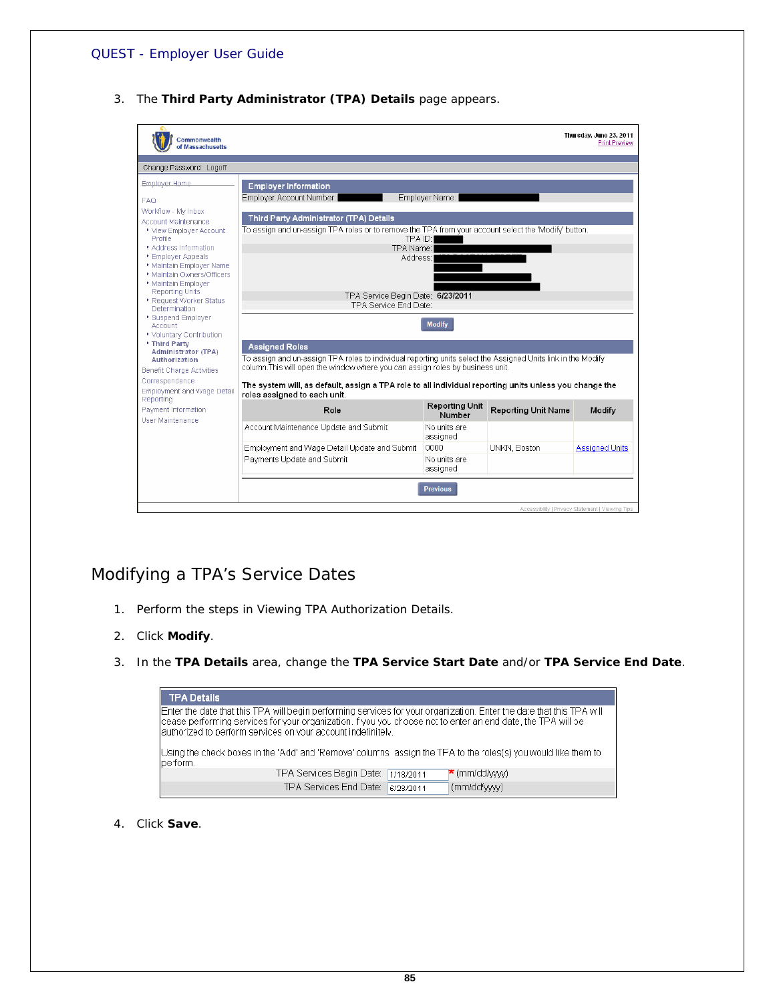3. The **Third Party Administrator (TPA) Details** page appears.

| <b>Commonwealth</b><br>of Massachusetts         |                                                                                                                 |                                 |                            | Thursday, June 23, 2011<br><b>Print Preview</b>  |  |
|-------------------------------------------------|-----------------------------------------------------------------------------------------------------------------|---------------------------------|----------------------------|--------------------------------------------------|--|
| Change Password Logoff                          |                                                                                                                 |                                 |                            |                                                  |  |
| Employer Home                                   | <b>Employer Information</b>                                                                                     |                                 |                            |                                                  |  |
| <b>FAO</b>                                      | Employer Name:<br>Employer Account Number:                                                                      |                                 |                            |                                                  |  |
| Workflow - My Inbox                             |                                                                                                                 |                                 |                            |                                                  |  |
| Account Maintenance                             | Third Party Administrator (TPA) Details                                                                         |                                 |                            |                                                  |  |
| ▶ View Emplover Account<br>Profile              | To assign and un-assign TPA roles or to remove the TPA from your account select the 'Modify' button.<br>TPA ID: |                                 |                            |                                                  |  |
| * Address Information                           | TPA Name:                                                                                                       |                                 |                            |                                                  |  |
| ▶ Employer Appeals                              | Address:                                                                                                        |                                 |                            |                                                  |  |
| Maintain Employer Name                          |                                                                                                                 |                                 |                            |                                                  |  |
| * Maintain Owners/Officers<br>Maintain Employer |                                                                                                                 |                                 |                            |                                                  |  |
| <b>Reporting Units</b>                          |                                                                                                                 |                                 |                            |                                                  |  |
| ▶ Request Worker Status                         | TPA Service Begin Date: 6/23/2011<br>TPA Service End Date:                                                      |                                 |                            |                                                  |  |
| <b>Determination</b>                            |                                                                                                                 |                                 |                            |                                                  |  |
| ▶ Suspend Employer<br>Account                   |                                                                                                                 | <b>Modify</b>                   |                            |                                                  |  |
| ▶ Voluntary Contribution                        |                                                                                                                 |                                 |                            |                                                  |  |
| * Third Party                                   | <b>Assigned Roles</b>                                                                                           |                                 |                            |                                                  |  |
| <b>Administrator (TPA)</b><br>Authorization     | To assign and un-assign TPA roles to individual reporting units select the Assigned Units link in the Modify    |                                 |                            |                                                  |  |
| Benefit Charge Activities                       | column. This will open the window where you can assign roles by business unit.                                  |                                 |                            |                                                  |  |
| Correspondence                                  | The system will, as default, assign a TPA role to all individual reporting units unless you change the          |                                 |                            |                                                  |  |
| Employment and Wage Detail<br>Reporting         | roles assigned to each unit.                                                                                    |                                 |                            |                                                  |  |
| Payment Information<br>User Maintenance         | Role                                                                                                            | <b>Reporting Unit</b><br>Number | <b>Reporting Unit Name</b> | Modify                                           |  |
|                                                 | Account Maintenance Update and Submit                                                                           | No units are<br>assigned        |                            |                                                  |  |
|                                                 | Employment and Wage Detail Update and Submit                                                                    | 0000                            | <b>UNKN, Boston</b>        | <b>Assigned Units</b>                            |  |
|                                                 | Payments Update and Submit                                                                                      | No units are<br>assigned        |                            |                                                  |  |
|                                                 |                                                                                                                 | <b>Previous</b>                 |                            | Accessibility   Privacy Statement   Viewing Tips |  |

# *Modifying a TPA's Service Dates*

- 1. Perform the steps in *Viewing TPA Authorization Details*.
- 2. Click **Modify**.
- 3. In the **TPA Details** area, change the **TPA Service Start Date** and/or **TPA Service End Date**.

| <b>TPA Details</b>                                                                                                                                                                                                                                                                                     |                                  |
|--------------------------------------------------------------------------------------------------------------------------------------------------------------------------------------------------------------------------------------------------------------------------------------------------------|----------------------------------|
| Enter the date that this TPA will begin performing services for your organization. Enter the date that this TPA will<br>lcease performing services for your organization. If you you choose not to enter an end date, the TPA will be<br>lauthorized to perform services on your account indefinitely. |                                  |
| Using the check boxes in the 'Add' and 'Remove' columns assign the TFA to the roles(s) you would like them to<br>pe form.                                                                                                                                                                              |                                  |
| TPA Services Begin Date:                                                                                                                                                                                                                                                                               | $\star$ (mm/dd/www)<br>1/18/2011 |
| TPA Services End Date:                                                                                                                                                                                                                                                                                 | (mm/dd/ww)<br>6/23/2011          |

4. Click **Save**.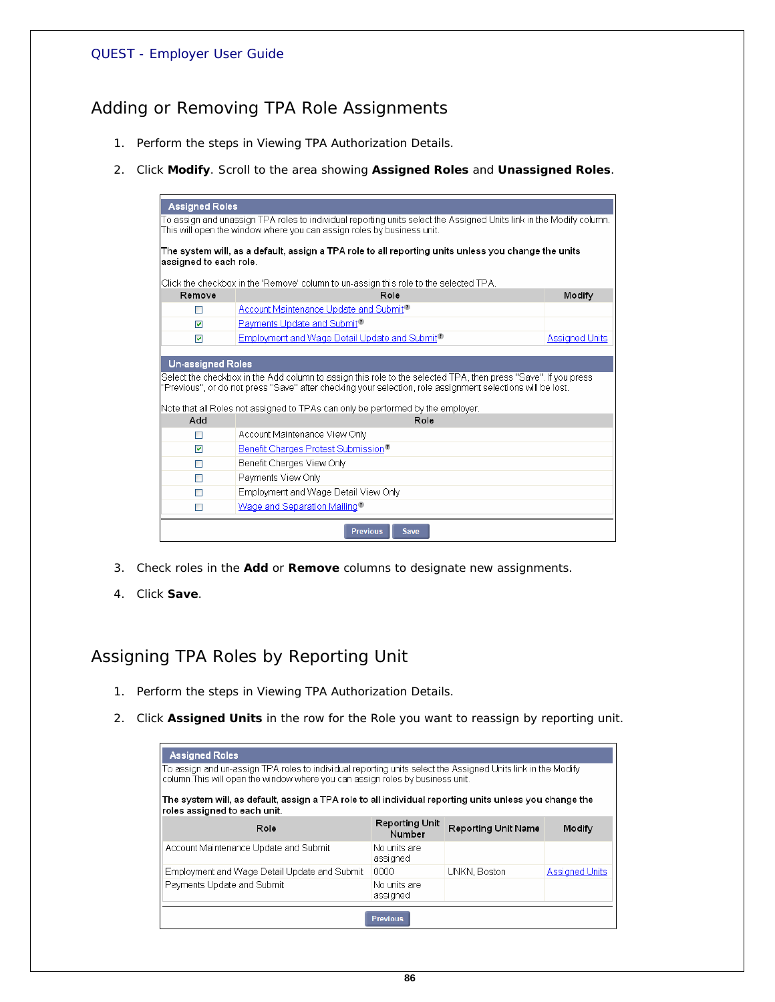# *Adding or Removing TPA Role Assignments*

- 1. Perform the steps in *Viewing TPA Authorization Details*.
- 2. Click **Modify**. Scroll to the area showing **Assigned Roles** and **Unassigned Roles**.

|                                                                                                                     | <b>Assigned Roles</b>                                                                                          |                       |  |  |  |
|---------------------------------------------------------------------------------------------------------------------|----------------------------------------------------------------------------------------------------------------|-----------------------|--|--|--|
| To assign and unassign TPA roles to individual reporting units select the Assigned Units link in the Modify column. |                                                                                                                |                       |  |  |  |
|                                                                                                                     | This will open the window where you can assign roles by business unit.                                         |                       |  |  |  |
|                                                                                                                     | The system will, as a default, assign a TPA role to all reporting units unless you change the units            |                       |  |  |  |
| assigned to each role.                                                                                              |                                                                                                                |                       |  |  |  |
|                                                                                                                     |                                                                                                                |                       |  |  |  |
|                                                                                                                     | Click the checkbox in the 'Remove' column to un-assign this role to the selected TPA.                          |                       |  |  |  |
| Remove                                                                                                              | Role                                                                                                           | Modify                |  |  |  |
| ш                                                                                                                   | Account Maintenance Update and Submit <sup>11</sup>                                                            |                       |  |  |  |
| ⊽                                                                                                                   | Payments Update and Submit <sup>1</sup>                                                                        |                       |  |  |  |
| ⊽                                                                                                                   | Employment and Wage Detail Update and Submit <sup>1</sup>                                                      | <b>Assigned Units</b> |  |  |  |
|                                                                                                                     |                                                                                                                |                       |  |  |  |
| <b>Un-assigned Roles</b>                                                                                            |                                                                                                                |                       |  |  |  |
|                                                                                                                     | Select the checkbox in the Add column to assign this role to the selected TPA, then press "Save". If you press |                       |  |  |  |
|                                                                                                                     | "Previous", or do not press "Save" after checking your selection, role assignment selections will be lost.     |                       |  |  |  |
|                                                                                                                     | Note that all Roles not assigned to TPAs can only be performed by the employer.                                |                       |  |  |  |
| Add                                                                                                                 | Role                                                                                                           |                       |  |  |  |
| П                                                                                                                   | Account Maintenance View Only                                                                                  |                       |  |  |  |
| $\blacktriangledown$                                                                                                | Benefit Charges Protest Submission <sup>®</sup>                                                                |                       |  |  |  |
| П                                                                                                                   | Benefit Charges View Only                                                                                      |                       |  |  |  |
| П                                                                                                                   | Payments View Only                                                                                             |                       |  |  |  |
| П                                                                                                                   | Employment and Wage Detail View Only                                                                           |                       |  |  |  |
| П                                                                                                                   | Wage and Separation Mailing <sup>1</sup>                                                                       |                       |  |  |  |
|                                                                                                                     |                                                                                                                |                       |  |  |  |
|                                                                                                                     | <b>Previous</b><br>Save                                                                                        |                       |  |  |  |

- 3. Check roles in the **Add** or **Remove** columns to designate new assignments.
- 4. Click **Save**.

# *Assigning TPA Roles by Reporting Unit*

- 1. Perform the steps in *Viewing TPA Authorization Details*.
- 2. Click **Assigned Units** in the row for the Role you want to reassign by reporting unit.

| <b>Assigned Roles</b><br>To assign and un-assign TPA roles to individual reporting units select the Assigned Units link in the Modify<br>column. This will open the window where you can assign roles by business unit. |                                 |                            |                       |  |  |
|-------------------------------------------------------------------------------------------------------------------------------------------------------------------------------------------------------------------------|---------------------------------|----------------------------|-----------------------|--|--|
| The system will, as default, assign a TPA role to all individual reporting units unless you change the<br>roles assigned to each unit.                                                                                  |                                 |                            |                       |  |  |
| Role                                                                                                                                                                                                                    | <b>Reporting Unit</b><br>Number | <b>Reporting Unit Name</b> | Modify                |  |  |
| Account Maintenance Update and Submit                                                                                                                                                                                   | No units are<br>assigned        |                            |                       |  |  |
| Employment and Wage Detail Update and Submit                                                                                                                                                                            | nnnn.                           | UNKN, Boston               | <b>Assigned Units</b> |  |  |
| Payments Update and Submit                                                                                                                                                                                              | No units are<br>assigned        |                            |                       |  |  |
|                                                                                                                                                                                                                         | <b>Previous</b>                 |                            |                       |  |  |